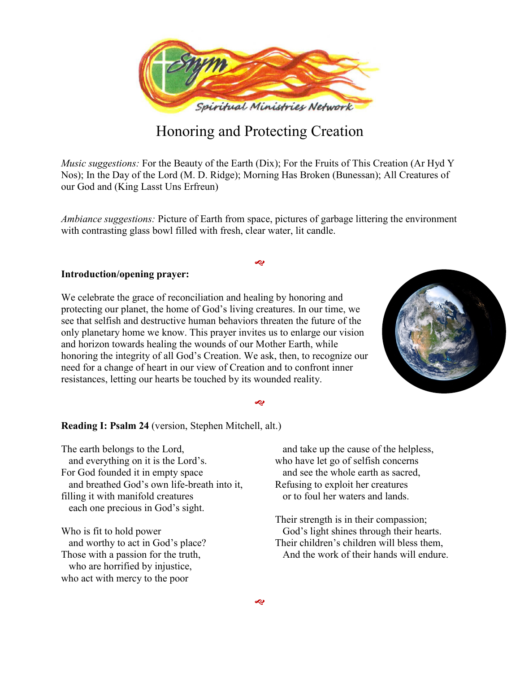

# Honoring and Protecting Creation

*Music suggestions:* For the Beauty of the Earth (Dix); For the Fruits of This Creation (Ar Hyd Y Nos); In the Day of the Lord (M. D. Ridge); Morning Has Broken (Bunessan); All Creatures of our God and (King Lasst Uns Erfreun)

*Ambiance suggestions:* Picture of Earth from space, pictures of garbage littering the environment with contrasting glass bowl filled with fresh, clear water, lit candle.

ø

#### **Introduction/opening prayer:**

We celebrate the grace of reconciliation and healing by honoring and protecting our planet, the home of God's living creatures. In our time, we see that selfish and destructive human behaviors threaten the future of the only planetary home we know. This prayer invites us to enlarge our vision and horizon towards healing the wounds of our Mother Earth, while honoring the integrity of all God's Creation. We ask, then, to recognize our need for a change of heart in our view of Creation and to confront inner resistances, letting our hearts be touched by its wounded reality.



#### محه

**Reading I: Psalm 24** (version, Stephen Mitchell, alt.)

The earth belongs to the Lord, and everything on it is the Lord's. For God founded it in empty space and breathed God's own life-breath into it, filling it with manifold creatures each one precious in God's sight.

Who is fit to hold power and worthy to act in God's place? Those with a passion for the truth, who are horrified by injustice, who act with mercy to the poor

and take up the cause of the helpless, who have let go of selfish concerns and see the whole earth as sacred, Refusing to exploit her creatures or to foul her waters and lands.

Their strength is in their compassion; God's light shines through their hearts. Their children's children will bless them, And the work of their hands will endure.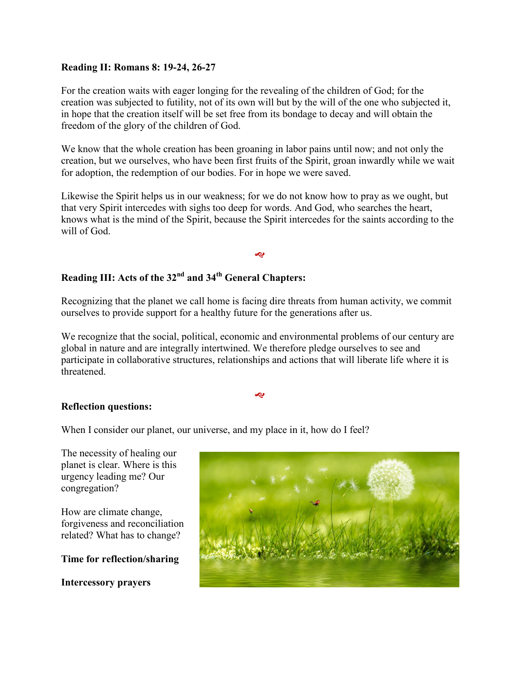## **Reading II: Romans 8: 19-24, 26-27**

For the creation waits with eager longing for the revealing of the children of God; for the creation was subjected to futility, not of its own will but by the will of the one who subjected it, in hope that the creation itself will be set free from its bondage to decay and will obtain the freedom of the glory of the children of God.

We know that the whole creation has been groaning in labor pains until now; and not only the creation, but we ourselves, who have been first fruits of the Spirit, groan inwardly while we wait for adoption, the redemption of our bodies. For in hope we were saved.

Likewise the Spirit helps us in our weakness; for we do not know how to pray as we ought, but that very Spirit intercedes with sighs too deep for words. And God, who searches the heart, knows what is the mind of the Spirit, because the Spirit intercedes for the saints according to the will of God.

Ŀ

## **Reading III: Acts of the 32nd and 34th General Chapters:**

Recognizing that the planet we call home is facing dire threats from human activity, we commit ourselves to provide support for a healthy future for the generations after us.

We recognize that the social, political, economic and environmental problems of our century are global in nature and are integrally intertwined. We therefore pledge ourselves to see and participate in collaborative structures, relationships and actions that will liberate life where it is threatened.

æ

### **Reflection questions:**

When I consider our planet, our universe, and my place in it, how do I feel?

The necessity of healing our planet is clear. Where is this urgency leading me? Our congregation?

How are climate change, forgiveness and reconciliation related? What has to change?

**Time for reflection/sharing**

**Intercessory prayers**